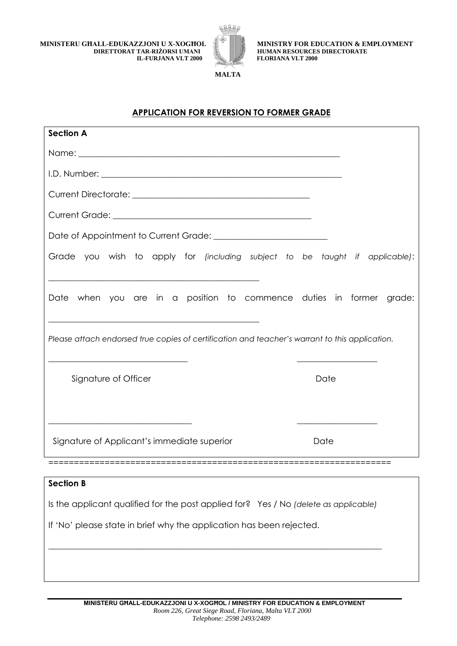**MINISTERU GĦALL-EDUKAZZJONI U X-XOGĦOL DIRETTORAT TAR-RIŻORSI UMANI IL-FURJANA VLT 2000**



 **MINISTRY FOR EDUCATION & EMPLOYMENT HUMAN RESOURCES DIRECTORATE FLORIANA VLT 2000**

**MALTA**

## **APPLICATION FOR REVERSION TO FORMER GRADE**

| <b>Section A</b>                                                                               |      |
|------------------------------------------------------------------------------------------------|------|
|                                                                                                |      |
|                                                                                                |      |
|                                                                                                |      |
|                                                                                                |      |
|                                                                                                |      |
| Grade you wish to apply for (including subject to be taught if applicable):                    |      |
| Date when you are in a position to commence duties in former grade:                            |      |
| Please attach endorsed true copies of certification and teacher's warrant to this application. |      |
| Signature of Officer                                                                           | Date |
|                                                                                                |      |
| Signature of Applicant's immediate superior                                                    | Date |
|                                                                                                |      |
| <b>Section B</b>                                                                               |      |
| Is the applicant qualified for the post applied for? Yes / No (delete as applicable)           |      |
| If 'No' please state in brief why the application has been rejected.                           |      |
|                                                                                                |      |